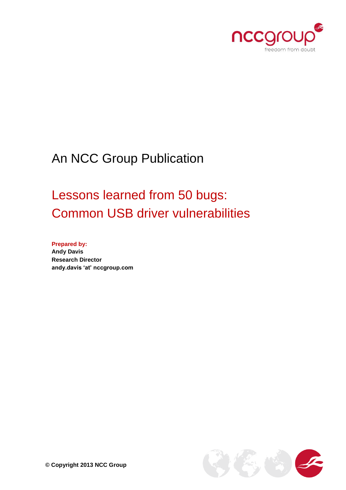

# An NCC Group Publication

# Lessons learned from 50 bugs: Common USB driver vulnerabilities

**Prepared by: Andy Davis Research Director andy.davis 'at' nccgroup.com**

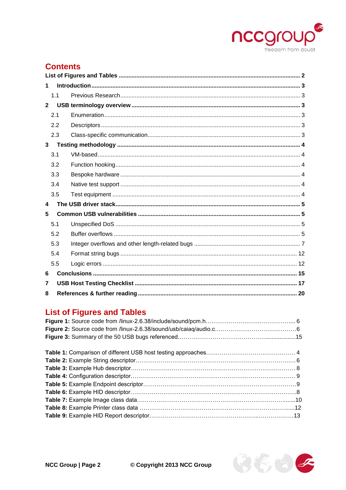

# **Contents**

| 1              |                |  |  |  |  |  |
|----------------|----------------|--|--|--|--|--|
|                | 1 <sub>1</sub> |  |  |  |  |  |
| $\mathbf{2}$   |                |  |  |  |  |  |
|                | 2.1            |  |  |  |  |  |
|                | 2.2            |  |  |  |  |  |
|                | 2.3            |  |  |  |  |  |
| 3 <sup>7</sup> |                |  |  |  |  |  |
|                | 3.1            |  |  |  |  |  |
|                | 3.2            |  |  |  |  |  |
|                | 3.3            |  |  |  |  |  |
|                | 3.4            |  |  |  |  |  |
|                | 3.5            |  |  |  |  |  |
| 4              |                |  |  |  |  |  |
| 5              |                |  |  |  |  |  |
|                | 5.1            |  |  |  |  |  |
|                | 5.2            |  |  |  |  |  |
|                | 5.3            |  |  |  |  |  |
|                | 5.4            |  |  |  |  |  |
|                | 5.5            |  |  |  |  |  |
| 6              |                |  |  |  |  |  |
| 7              |                |  |  |  |  |  |
| 8              |                |  |  |  |  |  |

# <span id="page-1-0"></span>**List of Figures and Tables**

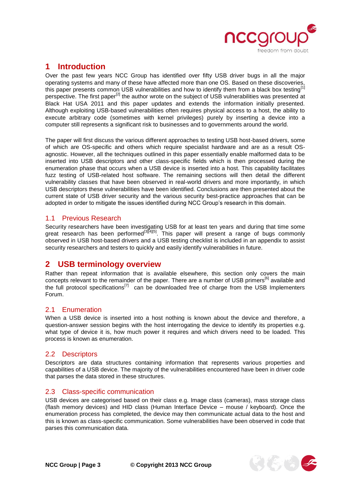

# <span id="page-2-0"></span>**1 Introduction**

Over the past few years NCC Group has identified over fifty USB driver bugs in all the major operating systems and many of these have affected more than one OS. Based on these discoveries, this paper presents common USB vulnerabilities and how to identify them from a black box testing<sup>[1]</sup> perspective. The first paper<sup>[2]</sup> the author wrote on the subject of USB vulnerabilities was presented at Black Hat USA 2011 and this paper updates and extends the information initially presented. Although exploiting USB-based vulnerabilities often requires physical access to a host, the ability to execute arbitrary code (sometimes with kernel privileges) purely by inserting a device into a computer still represents a significant risk to businesses and to governments around the world.

The paper will first discuss the various different approaches to testing USB host-based drivers, some of which are OS-specific and others which require specialist hardware and are as a result OSagnostic. However, all the techniques outlined in this paper essentially enable malformed data to be inserted into USB descriptors and other class-specific fields which is then processed during the enumeration phase that occurs when a USB device is inserted into a host. This capability facilitates fuzz testing of USB-related host software. The remaining sections will then detail the different vulnerability classes that have been observed in real-world drivers and more importantly, in which USB descriptors these vulnerabilities have been identified. Conclusions are then presented about the current state of USB driver security and the various security best-practice approaches that can be adopted in order to mitigate the issues identified during NCC Group's research in this domain.

## <span id="page-2-1"></span>1.1 Previous Research

Security researchers have been investigating USB for at least ten years and during that time some great research has been performed<sup>[3][4][5]</sup>. This paper will present a range of bugs commonly observed in USB host-based drivers and a USB testing checklist is included in an appendix to assist security researchers and testers to quickly and easily identify vulnerabilities in future.

# <span id="page-2-2"></span>**2 USB terminology overview**

Rather than repeat information that is available elsewhere, this section only covers the main concepts relevant to the remainder of the paper. There are a number of USB primers<sup>[6]</sup> available and the full protocol specifications<sup>[7]</sup> can be downloaded free of charge from the USB Implementers Forum.

## <span id="page-2-3"></span>2.1 Enumeration

When a USB device is inserted into a host nothing is known about the device and therefore, a question-answer session begins with the host interrogating the device to identify its properties e.g. what type of device it is, how much power it requires and which drivers need to be loaded. This process is known as enumeration.

## <span id="page-2-4"></span>2.2 Descriptors

Descriptors are data structures containing information that represents various properties and capabilities of a USB device. The majority of the vulnerabilities encountered have been in driver code that parses the data stored in these structures.

## <span id="page-2-5"></span>2.3 Class-specific communication

USB devices are categorised based on their class e.g. Image class (cameras), mass storage class (flash memory devices) and HID class (Human Interface Device – mouse / keyboard). Once the enumeration process has completed, the device may then communicate actual data to the host and this is known as class-specific communication. Some vulnerabilities have been observed in code that parses this communication data.

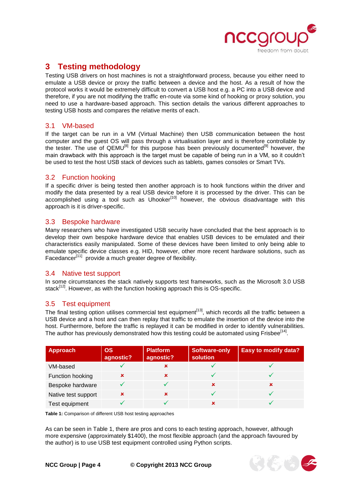

# <span id="page-3-0"></span>**3 Testing methodology**

Testing USB drivers on host machines is not a straightforward process, because you either need to emulate a USB device or proxy the traffic between a device and the host. As a result of how the protocol works it would be extremely difficult to convert a USB host e.g. a PC into a USB device and therefore, if you are not modifying the traffic en-route via some kind of hooking or proxy solution, you need to use a hardware-based approach. This section details the various different approaches to testing USB hosts and compares the relative merits of each.

## <span id="page-3-1"></span>3.1 VM-based

If the target can be run in a VM (Virtual Machine) then USB communication between the host computer and the guest OS will pass through a virtualisation layer and is therefore controllable by the tester. The use of QEMU<sup>[8]</sup> for this purpose has been previously documented<sup>[9]</sup> however, the main drawback with this approach is the target must be capable of being run in a VM, so it couldn't be used to test the host USB stack of devices such as tablets, games consoles or Smart TVs.

## <span id="page-3-2"></span>3.2 Function hooking

If a specific driver is being tested then another approach is to hook functions within the driver and modify the data presented by a real USB device before it is processed by the driver. This can be accomplished using a tool such as Uhooker<sup>[10]</sup> however, the obvious disadvantage with this approach is it is driver-specific.

## <span id="page-3-3"></span>3.3 Bespoke hardware

Many researchers who have investigated USB security have concluded that the best approach is to develop their own bespoke hardware device that enables USB devices to be emulated and their characteristics easily manipulated. Some of these devices have been limited to only being able to emulate specific device classes e.g. HID, however, other more recent hardware solutions, such as Facedancer<sup>[11]</sup> provide a much greater degree of flexibility.

## <span id="page-3-4"></span>3.4 Native test support

In some circumstances the stack natively supports test frameworks, such as the Microsoft 3.0 USB stack<sup>[12]</sup>. However, as with the function hooking approach this is OS-specific.

## <span id="page-3-5"></span>3.5 Test equipment

The final testing option utilises commercial test equipment<sup>[13]</sup>, which records all the traffic between a USB device and a host and can then replay that traffic to emulate the insertion of the device into the host. Furthermore, before the traffic is replayed it can be modified in order to identify vulnerabilities. The author has previously demonstrated how this testing could be automated using Frisbee<sup>[14]</sup>.

| Approach            | <b>OS</b><br>agnostic? | <b>Platform</b><br>agnostic? | Software-only<br>solution | <b>Easy to modify data?</b> |
|---------------------|------------------------|------------------------------|---------------------------|-----------------------------|
| VM-based            |                        |                              |                           |                             |
| Function hooking    | ×                      | $\mathbf x$                  |                           |                             |
| Bespoke hardware    |                        |                              | ×                         | x                           |
| Native test support | ×                      | ×                            |                           |                             |
| Test equipment      |                        |                              |                           |                             |

**Table 1:** Comparison of different USB host testing approaches

As can be seen in Table 1, there are pros and cons to each testing approach, however, although more expensive (approximately \$1400), the most flexible approach (and the approach favoured by the author) is to use USB test equipment controlled using Python scripts.

**NCC Group | Page 4 © Copyright 2013 NCC Group**

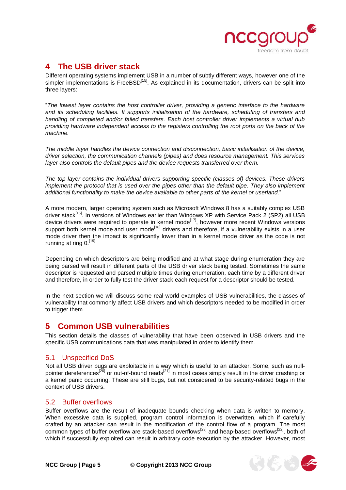

# <span id="page-4-0"></span>**4 The USB driver stack**

Different operating systems implement USB in a number of subtly different ways, however one of the simpler implementations is FreeBSD<sup>[15]</sup>. As explained in its documentation, drivers can be split into three layers:

"*The lowest layer contains the host controller driver, providing a generic interface to the hardware and its scheduling facilities. It supports initialisation of the hardware, scheduling of transfers and handling of completed and/or failed transfers. Each host controller driver implements a virtual hub providing hardware independent access to the registers controlling the root ports on the back of the machine.*

*The middle layer handles the device connection and disconnection, basic initialisation of the device, driver selection, the communication channels (pipes) and does resource management. This services layer also controls the default pipes and the device requests transferred over them.*

*The top layer contains the individual drivers supporting specific (classes of) devices. These drivers implement the protocol that is used over the pipes other than the default pipe. They also implement additional functionality to make the device available to other parts of the kernel or userland*."

A more modern, larger operating system such as Microsoft Windows 8 has a suitably complex USB driver stack<sup>[16]</sup>. In versions of Windows earlier than Windows XP with Service Pack 2 (SP2) all USB device drivers were required to operate in kernel mode<sup>[17]</sup>, however more recent Windows versions support both kernel mode and user mode<sup>[18]</sup> drivers and therefore, if a vulnerability exists in a user mode driver then the impact is significantly lower than in a kernel mode driver as the code is not running at ring 0.<sup>[19]</sup>

Depending on which descriptors are being modified and at what stage during enumeration they are being parsed will result in different parts of the USB driver stack being tested. Sometimes the same descriptor is requested and parsed multiple times during enumeration, each time by a different driver and therefore, in order to fully test the driver stack each request for a descriptor should be tested.

In the next section we will discuss some real-world examples of USB vulnerabilities, the classes of vulnerability that commonly affect USB drivers and which descriptors needed to be modified in order to trigger them.

# <span id="page-4-1"></span>**5 Common USB vulnerabilities**

This section details the classes of vulnerability that have been observed in USB drivers and the specific USB communications data that was manipulated in order to identify them.

## <span id="page-4-2"></span>5.1 Unspecified DoS

Not all USB driver bugs are exploitable in a way which is useful to an attacker. Some, such as nullpointer dereferences<sup>[20]</sup> or out-of-bound reads<sup>[21]</sup> in most cases simply result in the driver crashing or a kernel panic occurring. These are still bugs, but not considered to be security-related bugs in the context of USB drivers.

## <span id="page-4-3"></span>5.2 Buffer overflows

Buffer overflows are the result of inadequate bounds checking when data is written to memory. When excessive data is supplied, program control information is overwritten, which if carefully crafted by an attacker can result in the modification of the control flow of a program. The most common types of buffer overflow are stack-based overflows<sup>[23]</sup> and heap-based overflows<sup>[22]</sup>, both of which if successfully exploited can result in arbitrary code execution by the attacker. However, most

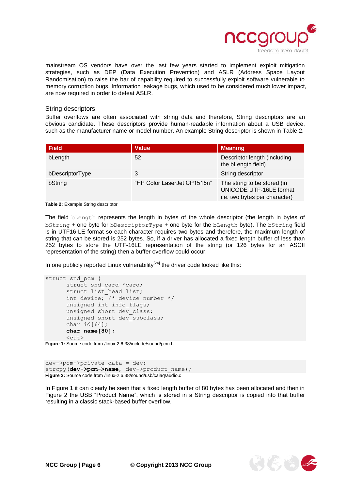

mainstream OS vendors have over the last few years started to implement exploit mitigation strategies, such as DEP (Data Execution Prevention) and ASLR (Address Space Layout Randomisation) to raise the bar of capability required to successfully exploit software vulnerable to memory corruption bugs. Information leakage bugs, which used to be considered much lower impact, are now required in order to defeat ASLR.

#### String descriptors

Buffer overflows are often associated with string data and therefore, String descriptors are an obvious candidate. These descriptors provide human-readable information about a USB device, such as the manufacturer name or model number. An example String descriptor is shown in Table 2.

| <b>Field</b>    | <b>Value</b>                | <b>Meaning</b>                                                                          |
|-----------------|-----------------------------|-----------------------------------------------------------------------------------------|
| bLength         | 52                          | Descriptor length (including<br>the bLength field)                                      |
| bDescriptorType | 3                           | String descriptor                                                                       |
| bString         | "HP Color LaserJet CP1515n" | The string to be stored (in<br>UNICODE UTF-16LE format<br>i.e. two bytes per character) |

**Table 2:** Example String descriptor

The field bLength represents the length in bytes of the whole descriptor (the length in bytes of bString + one byte for bDescriptorType + one byte for the bLength byte). The bString field is in UTF16-LE format so each character requires two bytes and therefore, the maximum length of string that can be stored is 252 bytes. So, if a driver has allocated a fixed length buffer of less than 252 bytes to store the UTF-16LE representation of the string (or 126 bytes for an ASCII representation of the string) then a buffer overflow could occur.

In one publicly reported Linux vulnerability $^{[24]}$  the driver code looked like this:

```
struct snd pcm {
     struct snd card *card;
      struct list_head list; 
      int device; /* device number */ 
      unsigned int info flags;
      unsigned short dev class;
      unsigned short dev subclass;
      char id[64]; 
      char name[80];
      \langlecut>
```
**Figure 1:** Source code from /linux-2.6.38/include/sound/pcm.h

```
dev->pcm->private_data = dev; 
strcpy(dev->pcm->name, dev->product name);
Figure 2: Source code from /linux-2.6.38/sound/usb/caiaq/audio.c
```
In Figure 1 it can clearly be seen that a fixed length buffer of 80 bytes has been allocated and then in Figure 2 the USB "Product Name", which is stored in a String descriptor is copied into that buffer resulting in a classic stack-based buffer overflow.

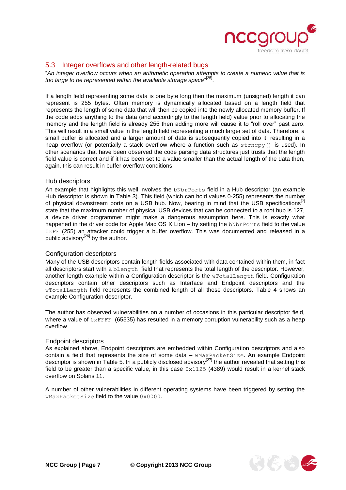

## <span id="page-6-0"></span>5.3 Integer overflows and other length-related bugs

"*An integer overflow occurs when an arithmetic operation attempts to create a numeric value that is*  too large to be represented within the available storage space"<sup>[25]</sup>.

If a length field representing some data is one byte long then the maximum (unsigned) length it can represent is 255 bytes. Often memory is dynamically allocated based on a length field that represents the length of some data that will then be copied into the newly allocated memory buffer. If the code adds anything to the data (and accordingly to the length field) value prior to allocating the memory and the length field is already 255 then adding more will cause it to "roll over" past zero. This will result in a small value in the length field representing a much larger set of data. Therefore, a small buffer is allocated and a larger amount of data is subsequently copied into it, resulting in a heap overflow (or potentially a stack overflow where a function such as  $strnopy()$  is used). In other scenarios that have been observed the code parsing data structures just trusts that the length field value is correct and if it has been set to a value smaller than the actual length of the data then, again, this can result in buffer overflow conditions.

#### Hub descriptors

An example that highlights this well involves the **bNbrPorts** field in a Hub descriptor (an example Hub descriptor is shown in Table 3). This field (which can hold values 0-255) represents the number of physical downstream ports on a USB hub. Now, bearing in mind that the USB specifications<sup>[1]</sup> state that the maximum number of physical USB devices that can be connected to a root hub is 127, a device driver programmer might make a dangerous assumption here. This is exactly what happened in the driver code for Apple Mac OS  $X$  Lion – by setting the  $bND$ rPorts field to the value 0xFF (255) an attacker could trigger a buffer overflow. This was documented and released in a public advisory<sup>[26]</sup> by the author.

#### Configuration descriptors

Many of the USB descriptors contain length fields associated with data contained within them, in fact all descriptors start with a bLength field that represents the total length of the descriptor. However, another length example within a Configuration descriptor is the wTotalLength field. Configuration descriptors contain other descriptors such as Interface and Endpoint descriptors and the wTotalLength field represents the combined length of all these descriptors. Table 4 shows an example Configuration descriptor.

The author has observed vulnerabilities on a number of occasions in this particular descriptor field, where a value of  $0x$ FFFF (65535) has resulted in a memory corruption vulnerability such as a heap overflow.

#### Endpoint descriptors

As explained above, Endpoint descriptors are embedded within Configuration descriptors and also contain a field that represents the size of some data – wMaxPacketSize. An example Endpoint descriptor is shown in Table 5. In a publicly disclosed advisory<sup>[27]</sup> the author revealed that setting this field to be greater than a specific value, in this case  $0 \times 1125$  (4389) would result in a kernel stack overflow on Solaris 11.

A number of other vulnerabilities in different operating systems have been triggered by setting the wMaxPacketSize field to the value 0x0000.

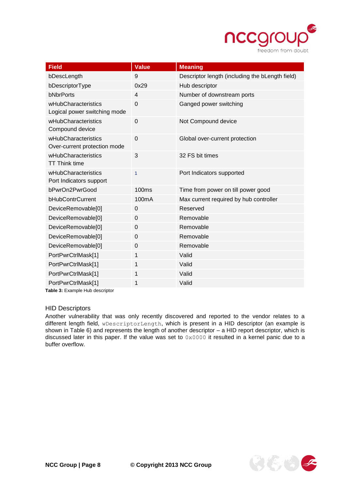

| <b>Field</b>                                        | <b>Value</b>      | <b>Meaning</b>                                  |
|-----------------------------------------------------|-------------------|-------------------------------------------------|
| bDescLength                                         | 9                 | Descriptor length (including the bLength field) |
| bDescriptorType                                     | 0x29              | Hub descriptor                                  |
| bNbrPorts                                           | $\overline{4}$    | Number of downstream ports                      |
| wHubCharacteristics<br>Logical power switching mode | $\Omega$          | Ganged power switching                          |
| wHubCharacteristics<br>Compound device              | $\mathbf 0$       | Not Compound device                             |
| wHubCharacteristics<br>Over-current protection mode | $\mathbf 0$       | Global over-current protection                  |
| wHubCharacteristics<br><b>TT Think time</b>         | $\mathbf{3}$      | 32 FS bit times                                 |
| wHubCharacteristics<br>Port Indicators support      | $\mathbf{1}$      | Port Indicators supported                       |
| bPwrOn2PwrGood                                      | 100 <sub>ms</sub> | Time from power on till power good              |
| bHubContrCurrent                                    | 100mA             | Max current required by hub controller          |
| DeviceRemovable[0]                                  | $\mathbf 0$       | Reserved                                        |
| DeviceRemovable[0]                                  | $\mathbf 0$       | Removable                                       |
| DeviceRemovable[0]                                  | $\Omega$          | Removable                                       |
| DeviceRemovable[0]                                  | $\overline{0}$    | Removable                                       |
| DeviceRemovable[0]                                  | 0                 | Removable                                       |
| PortPwrCtrlMask[1]                                  | 1                 | Valid                                           |
| PortPwrCtrlMask[1]                                  | 1                 | Valid                                           |
| PortPwrCtrlMask[1]                                  | 1                 | Valid                                           |
| PortPwrCtrlMask[1]                                  | 1                 | Valid                                           |

**Table 3:** Example Hub descriptor

#### HID Descriptors

Another vulnerability that was only recently discovered and reported to the vendor relates to a different length field, wDescriptorLength, which is present in a HID descriptor (an example is shown in Table 6) and represents the length of another descriptor – a HID report descriptor, which is discussed later in this paper. If the value was set to 0x0000 it resulted in a kernel panic due to a buffer overflow.

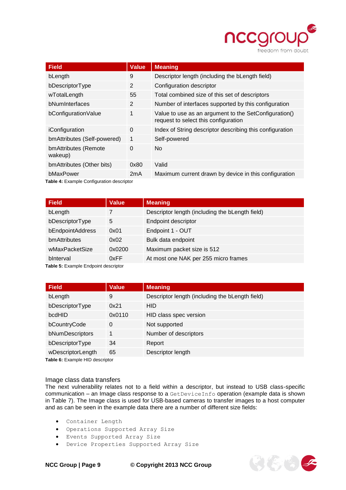

 $\mathcal{F}(\xi,\psi) \leq$ 

| <b>Field</b>                              | <b>Value</b>   | <b>Meaning</b>                                                                                |  |  |
|-------------------------------------------|----------------|-----------------------------------------------------------------------------------------------|--|--|
| bLength                                   | 9              | Descriptor length (including the bLength field)                                               |  |  |
| bDescriptorType                           | $\overline{2}$ | Configuration descriptor                                                                      |  |  |
| wTotalLength                              | 55             | Total combined size of this set of descriptors                                                |  |  |
| bNumInterfaces                            | 2              | Number of interfaces supported by this configuration                                          |  |  |
| bConfigurationValue                       | 1              | Value to use as an argument to the SetConfiguration()<br>request to select this configuration |  |  |
| iConfiguration                            | 0              | Index of String descriptor describing this configuration                                      |  |  |
| bmAttributes (Self-powered)               | 1              | Self-powered                                                                                  |  |  |
| bmAttributes (Remote<br>wakeup)           | $\Omega$       | No.                                                                                           |  |  |
| bmAttributes (Other bits)                 | 0x80           | Valid                                                                                         |  |  |
| bMaxPower                                 | 2mA            | Maximum current drawn by device in this configuration                                         |  |  |
| Table 4: Example Configuration descriptor |                |                                                                                               |  |  |

| Field            | <b>Value</b> | <b>Meaning</b>                                  |
|------------------|--------------|-------------------------------------------------|
| bLength          |              | Descriptor length (including the bLength field) |
| bDescriptorType  | 5            | Endpoint descriptor                             |
| bEndpointAddress | 0x01         | Endpoint 1 - OUT                                |
| bmAttributes     | 0x02         | Bulk data endpoint                              |
| wMaxPacketSize   | 0x0200       | Maximum packet size is 512                      |
| binterval        | 0xFF         | At most one NAK per 255 micro frames            |

**Table 5:** Example Endpoint descriptor

| <b>Field</b>      | <b>Value</b> | <b>Meaning</b>                                  |
|-------------------|--------------|-------------------------------------------------|
| bLength           | 9            | Descriptor length (including the bLength field) |
| bDescriptorType   | 0x21         | <b>HID</b>                                      |
| bcdHID            | 0x0110       | HID class spec version                          |
| bCountryCode      | 0            | Not supported                                   |
| bNumDescriptors   | $\mathbf{1}$ | Number of descriptors                           |
| bDescriptorType   | 34           | Report                                          |
| wDescriptorLength | 65           | Descriptor length                               |

**Table 6:** Example HID descriptor

#### Image class data transfers

The next vulnerability relates not to a field within a descriptor, but instead to USB class-specific communication – an Image class response to a GetDeviceInfo operation (example data is shown in Table 7). The Image class is used for USB-based cameras to transfer images to a host computer and as can be seen in the example data there are a number of different size fields:

- Container Length
- Operations Supported Array Size
- Events Supported Array Size
- Device Properties Supported Array Size

**NCC Group | Page 9 © Copyright 2013 NCC Group**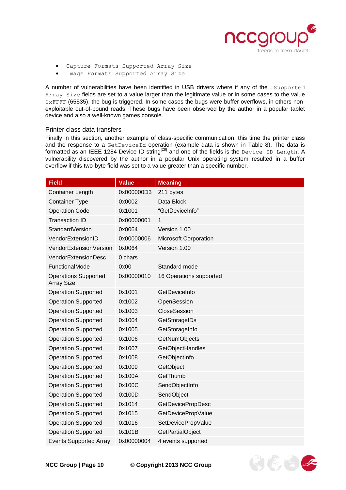

- Capture Formats Supported Array Size
- Image Formats Supported Array Size

A number of vulnerabilities have been identified in USB drivers where if any of the …Supported Array Size fields are set to a value larger than the legitimate value or in some cases to the value 0xFFFF (65535), the bug is triggered. In some cases the bugs were buffer overflows, in others nonexploitable out-of-bound reads. These bugs have been observed by the author in a popular tablet device and also a well-known games console.

#### Printer class data transfers

Finally in this section, another example of class-specific communication, this time the printer class and the response to a GetDeviceId operation (example data is shown in Table 8). The data is formatted as an IEEE 1284 Device ID string<sup>[28]</sup> and one of the fields is the <code>Device ID Length. A</code> vulnerability discovered by the author in a popular Unix operating system resulted in a buffer overflow if this two-byte field was set to a value greater than a specific number.

| <b>Field</b>                                     | <b>Value</b> | <b>Meaning</b>               |
|--------------------------------------------------|--------------|------------------------------|
| <b>Container Length</b>                          | 0x000000D3   | 211 bytes                    |
| <b>Container Type</b>                            | 0x0002       | Data Block                   |
| <b>Operation Code</b>                            | 0x1001       | "GetDeviceInfo"              |
| <b>Transaction ID</b>                            | 0x00000001   | 1                            |
| StandardVersion                                  | 0x0064       | Version 1.00                 |
| VendorExtensionID                                | 0x00000006   | <b>Microsoft Corporation</b> |
| VendorExtensionVersion                           | 0x0064       | Version 1.00                 |
| VendorExtensionDesc                              | 0 chars      |                              |
| FunctionalMode                                   | 0x00         | Standard mode                |
| <b>Operations Supported</b><br><b>Array Size</b> | 0x00000010   | 16 Operations supported      |
| <b>Operation Supported</b>                       | 0x1001       | GetDeviceInfo                |
| <b>Operation Supported</b>                       | 0x1002       | OpenSession                  |
| <b>Operation Supported</b>                       | 0x1003       | CloseSession                 |
| <b>Operation Supported</b>                       | 0x1004       | GetStorageIDs                |
| <b>Operation Supported</b>                       | 0x1005       | GetStorageInfo               |
| <b>Operation Supported</b>                       | 0x1006       | GetNumObjects                |
| <b>Operation Supported</b>                       | 0x1007       | GetObjectHandles             |
| <b>Operation Supported</b>                       | 0x1008       | GetObjectInfo                |
| <b>Operation Supported</b>                       | 0x1009       | GetObject                    |
| <b>Operation Supported</b>                       | 0x100A       | GetThumb                     |
| <b>Operation Supported</b>                       | 0x100C       | SendObjectInfo               |
| <b>Operation Supported</b>                       | 0x100D       | SendObject                   |
| <b>Operation Supported</b>                       | 0x1014       | <b>GetDevicePropDesc</b>     |
| <b>Operation Supported</b>                       | 0x1015       | GetDevicePropValue           |
| <b>Operation Supported</b>                       | 0x1016       | SetDevicePropValue           |
| <b>Operation Supported</b>                       | 0x101B       | GetPartialObject             |
| <b>Events Supported Array</b>                    | 0x00000004   | 4 events supported           |

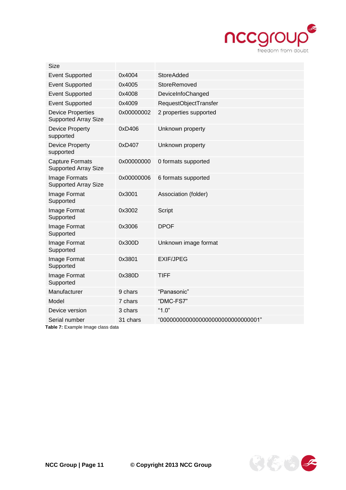

| <b>Size</b>                                             |            |                                      |
|---------------------------------------------------------|------------|--------------------------------------|
| <b>Event Supported</b>                                  | 0x4004     | <b>StoreAdded</b>                    |
| <b>Event Supported</b>                                  | 0x4005     | StoreRemoved                         |
| <b>Event Supported</b>                                  | 0x4008     | DeviceInfoChanged                    |
| <b>Event Supported</b>                                  | 0x4009     | RequestObjectTransfer                |
| <b>Device Properties</b><br><b>Supported Array Size</b> | 0x00000002 | 2 properties supported               |
| Device Property<br>supported                            | 0xD406     | Unknown property                     |
| Device Property<br>supported                            | 0xD407     | Unknown property                     |
| <b>Capture Formats</b><br><b>Supported Array Size</b>   | 0x00000000 | 0 formats supported                  |
| Image Formats<br><b>Supported Array Size</b>            | 0x00000006 | 6 formats supported                  |
| Image Format<br>Supported                               | 0x3001     | Association (folder)                 |
| Image Format<br>Supported                               | 0x3002     | Script                               |
| Image Format<br>Supported                               | 0x3006     | <b>DPOF</b>                          |
| Image Format<br>Supported                               | 0x300D     | Unknown image format                 |
| Image Format<br>Supported                               | 0x3801     | <b>EXIF/JPEG</b>                     |
| Image Format<br>Supported                               | 0x380D     | <b>TIFF</b>                          |
| Manufacturer                                            | 9 chars    | "Panasonic"                          |
| Model                                                   | 7 chars    | "DMC-FS7"                            |
| Device version                                          | 3 chars    | "1.0"                                |
| Serial number                                           | 31 chars   | "0000000000000000000000000000000001" |
|                                                         |            |                                      |

**Table 7:** Example Image class data

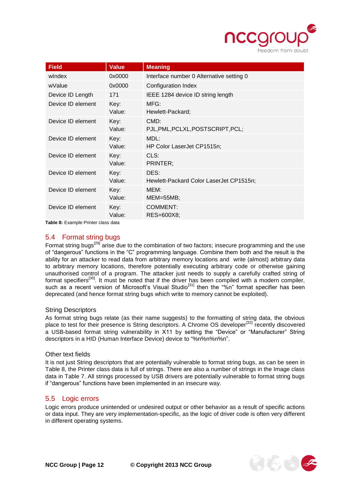

| <b>Field</b>      | <b>Value</b>   | <b>Meaning</b>                                  |
|-------------------|----------------|-------------------------------------------------|
| windex            | 0x0000         | Interface number 0 Alternative setting 0        |
| wValue            | 0x0000         | Configuration Index                             |
| Device ID Length  | 171            | IEEE 1284 device ID string length               |
| Device ID element | Key:<br>Value: | MFG:<br>Hewlett-Packard:                        |
| Device ID element | Key:<br>Value: | CMD:<br>PJL, PML, PCLXL, POSTSCRIPT, PCL;       |
| Device ID element | Key:<br>Value: | MDL:<br>HP Color LaserJet CP1515n;              |
| Device ID element | Key:<br>Value: | CLS:<br>PRINTER:                                |
| Device ID element | Key:<br>Value: | DES:<br>Hewlett-Packard Color LaserJet CP1515n; |
| Device ID element | Key:<br>Value: | MEM:<br>$MEM = 55MB$                            |
| Device ID element | Key:<br>Value: | <b>COMMENT:</b><br>RES=600X8;                   |

**Table 8:** Example Printer class data

## <span id="page-11-0"></span>5.4 Format string bugs

Format string bugs<sup>[29]</sup> arise due to the combination of two factors; insecure programming and the use of "dangerous" functions in the "C" programming language. Combine them both and the result is the ability for an attacker to read data from arbitrary memory locations and write (almost) arbitrary data to arbitrary memory locations, therefore potentially executing arbitrary code or otherwise gaining unauthorised control of a program. The attacker just needs to supply a carefully crafted string of format specifiers<sup>[30]</sup>. It must be noted that if the driver has been compiled with a modern compiler, such as a recent version of Microsoft's Visual Studio<sup>[31]</sup> then the "%n" format specifier has been deprecated (and hence format string bugs which write to memory cannot be exploited).

#### String Descriptors

As format string bugs relate (as their name suggests) to the formatting of string data, the obvious place to test for their presence is String descriptors. A Chrome OS developer<sup>[32]</sup> recently discovered a USB-based format string vulnerability in X11 by setting the "Device" or "Manufacturer" String descriptors in a HID (Human Interface Device) device to "%n%n%n%n".

#### Other text fields

It is not just String descriptors that are potentially vulnerable to format string bugs, as can be seen in Table 8, the Printer class data is full of strings. There are also a number of strings in the Image class data in Table 7. All strings processed by USB drivers are potentially vulnerable to format string bugs if "dangerous" functions have been implemented in an insecure way.

## <span id="page-11-1"></span>5.5 Logic errors

Logic errors produce unintended or undesired output or other behavior as a result of specific actions or data input. They are very implementation-specific, as the logic of driver code is often very different in different operating systems.

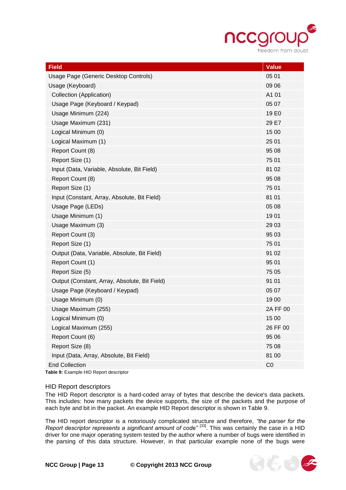

传的

| <b>Field</b>                                  | <b>Value</b>      |
|-----------------------------------------------|-------------------|
| Usage Page (Generic Desktop Controls)         | 05 01             |
| Usage (Keyboard)                              | 09 06             |
| Collection (Application)                      | A1 01             |
| Usage Page (Keyboard / Keypad)                | 05 07             |
| Usage Minimum (224)                           | 19 E <sub>0</sub> |
| Usage Maximum (231)                           | 29 E7             |
| Logical Minimum (0)                           | 15 00             |
| Logical Maximum (1)                           | 25 01             |
| Report Count (8)                              | 95 08             |
| Report Size (1)                               | 75 01             |
| Input (Data, Variable, Absolute, Bit Field)   | 81 02             |
| Report Count (8)                              | 95 08             |
| Report Size (1)                               | 75 01             |
| Input (Constant, Array, Absolute, Bit Field)  | 81 01             |
| Usage Page (LEDs)                             | 05 08             |
| Usage Minimum (1)                             | 1901              |
| Usage Maximum (3)                             | 29 03             |
| Report Count (3)                              | 95 03             |
| Report Size (1)                               | 75 01             |
| Output (Data, Variable, Absolute, Bit Field)  | 91 02             |
| Report Count (1)                              | 95 01             |
| Report Size (5)                               | 75 05             |
| Output (Constant, Array, Absolute, Bit Field) | 91 01             |
| Usage Page (Keyboard / Keypad)                | 05 07             |
| Usage Minimum (0)                             | 1900              |
| Usage Maximum (255)                           | 2A FF 00          |
| Logical Minimum (0)                           | 15 00             |
| Logical Maximum (255)                         | 26 FF 00          |
| Report Count (6)                              | 95 06             |
| Report Size (8)                               | 75 08             |
| Input (Data, Array, Absolute, Bit Field)      | 81 00             |
| <b>End Collection</b>                         | CO                |

**Table 9:** Example HID Report descriptor

#### HID Report descriptors

The HID Report descriptor is a hard-coded array of bytes that describe the device's data packets. This includes: how many packets the device supports, the size of the packets and the purpose of each byte and bit in the packet. An example HID Report descriptor is shown in Table 9.

The HID report descriptor is a notoriously complicated structure and therefore, *"the parser for the*  Report descriptor represents a significant amount of code"<sup>[33]</sup>. This was certainly the case in a HID driver for one major operating system tested by the author where a number of bugs were identified in the parsing of this data structure. However, in that particular example none of the bugs were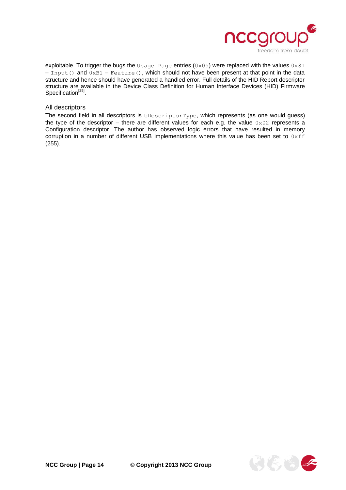

exploitable. To trigger the bugs the Usage Page entries (0x05) were replaced with the values  $0 \times 81$ – Input() and 0xB1 – Feature(), which should not have been present at that point in the data structure and hence should have generated a handled error. Full details of the HID Report descriptor structure are available in the Device Class Definition for Human Interface Devices (HID) Firmware Specification<sup>[25]</sup>.

#### All descriptors

The second field in all descriptors is bDescriptorType, which represents (as one would guess) the type of the descriptor – there are different values for each e.g. the value  $0 \times 02$  represents a Configuration descriptor. The author has observed logic errors that have resulted in memory corruption in a number of different USB implementations where this value has been set to  $0xff$ (255).

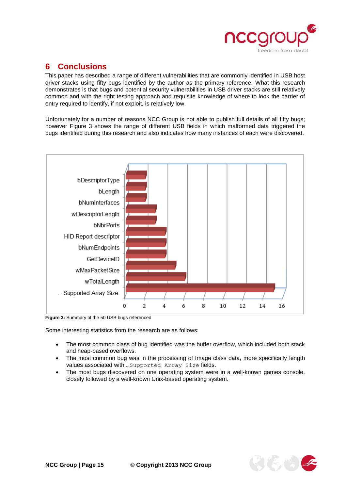

# <span id="page-14-0"></span>**6 Conclusions**

This paper has described a range of different vulnerabilities that are commonly identified in USB host driver stacks using fifty bugs identified by the author as the primary reference. What this research demonstrates is that bugs and potential security vulnerabilities in USB driver stacks are still relatively common and with the right testing approach and requisite knowledge of where to look the barrier of entry required to identify, if not exploit, is relatively low.

Unfortunately for a number of reasons NCC Group is not able to publish full details of all fifty bugs; however Figure 3 shows the range of different USB fields in which malformed data triggered the bugs identified during this research and also indicates how many instances of each were discovered.



**Figure 3:** Summary of the 50 USB bugs referenced

Some interesting statistics from the research are as follows:

- The most common class of bug identified was the buffer overflow, which included both stack and heap-based overflows.
- The most common bug was in the processing of Image class data, more specifically length values associated with …Supported Array Size fields.
- The most bugs discovered on one operating system were in a well-known games console, closely followed by a well-known Unix-based operating system.

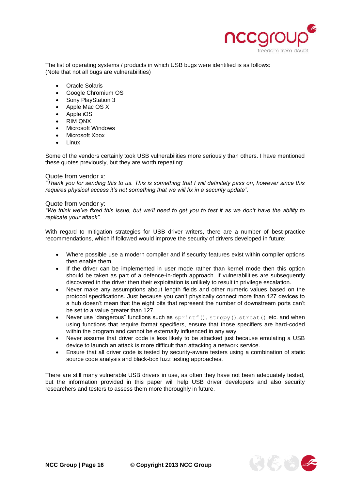

The list of operating systems / products in which USB bugs were identified is as follows: (Note that not all bugs are vulnerabilities)

- Oracle Solaris
- Google Chromium OS
- Sony PlayStation 3
- Apple Mac OS X
- Apple iOS
- RIM QNX
- Microsoft Windows
- Microsoft Xbox
- Linux

Some of the vendors certainly took USB vulnerabilities more seriously than others. I have mentioned these quotes previously, but they are worth repeating:

#### Quote from vendor x:

*"Thank you for sending this to us. This is something that I will definitely pass on, however since this requires physical access it's not something that we will fix in a security update".*

#### Quote from vendor y:

*"We think we've fixed this issue, but we'll need to get you to test it as we don't have the ability to replicate your attack".*

With regard to mitigation strategies for USB driver writers, there are a number of best-practice recommendations, which if followed would improve the security of drivers developed in future:

- Where possible use a modern compiler and if security features exist within compiler options then enable them.
- If the driver can be implemented in user mode rather than kernel mode then this option should be taken as part of a defence-in-depth approach. If vulnerabilities are subsequently discovered in the driver then their exploitation is unlikely to result in privilege escalation.
- Never make any assumptions about length fields and other numeric values based on the protocol specifications. Just because you can't physically connect more than 127 devices to a hub doesn't mean that the eight bits that represent the number of downstream ports can't be set to a value greater than 127.
- Never use "dangerous" functions such as sprintf(), strcpy(), strcat() etc. and when using functions that require format specifiers, ensure that those specifiers are hard-coded within the program and cannot be externally influenced in any way.
- Never assume that driver code is less likely to be attacked just because emulating a USB device to launch an attack is more difficult than attacking a network service.
- Ensure that all driver code is tested by security-aware testers using a combination of static source code analysis and black-box fuzz testing approaches.

There are still many vulnerable USB drivers in use, as often they have not been adequately tested, but the information provided in this paper will help USB driver developers and also security researchers and testers to assess them more thoroughly in future.

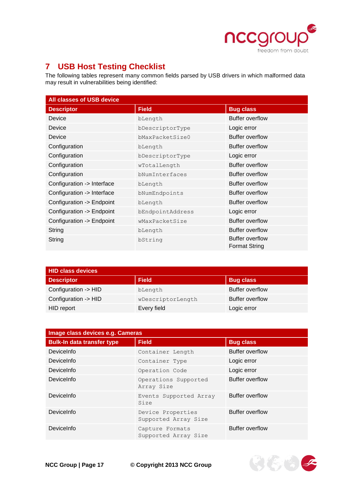

# <span id="page-16-0"></span>**7 USB Host Testing Checklist**

The following tables represent many common fields parsed by USB drivers in which malformed data may result in vulnerabilities being identified:

| <b>All classes of USB device</b> |                  |                                                |
|----------------------------------|------------------|------------------------------------------------|
| <b>Descriptor</b>                | <b>Field</b>     | <b>Bug class</b>                               |
| <b>Device</b>                    | bLength          | <b>Buffer overflow</b>                         |
| Device                           | bDescriptorType  | Logic error                                    |
| Device                           | bMaxPacketSize0  | <b>Buffer overflow</b>                         |
| Configuration                    | bLength          | <b>Buffer overflow</b>                         |
| Configuration                    | bDescriptorType  | Logic error                                    |
| Configuration                    | wTotalLength     | <b>Buffer overflow</b>                         |
| Configuration                    | bNumInterfaces   | <b>Buffer overflow</b>                         |
| Configuration -> Interface       | bLength          | <b>Buffer overflow</b>                         |
| Configuration -> Interface       | bNumEndpoints    | <b>Buffer overflow</b>                         |
| Configuration -> Endpoint        | bLength          | <b>Buffer overflow</b>                         |
| Configuration -> Endpoint        | bEndpointAddress | Logic error                                    |
| Configuration -> Endpoint        | wMaxPacketSize   | Buffer overflow                                |
| String                           | bLength          | <b>Buffer overflow</b>                         |
| String                           | bString          | <b>Buffer overflow</b><br><b>Format String</b> |

| <b>HID class devices</b> |                   |                        |
|--------------------------|-------------------|------------------------|
| <b>Descriptor</b>        | <b>Field</b>      | <b>Bug class</b>       |
| Configuration -> HID     | bLength           | <b>Buffer overflow</b> |
| Configuration -> HID     | wDescriptorLength | <b>Buffer overflow</b> |
| HID report               | Every field       | Logic error            |

| Image class devices e.g. Cameras  |                                           |                        |
|-----------------------------------|-------------------------------------------|------------------------|
| <b>Bulk-In data transfer type</b> | <b>Field</b>                              | <b>Bug class</b>       |
| DeviceInfo                        | Container Length                          | <b>Buffer overflow</b> |
| DeviceInfo                        | Container Type                            | Logic error            |
| DeviceInfo                        | Operation Code                            | Logic error            |
| DeviceInfo                        | Operations Supported<br>Array Size        | Buffer overflow        |
| DeviceInfo                        | Events Supported Array<br>Size            | <b>Buffer overflow</b> |
| DeviceInfo                        | Device Properties<br>Supported Array Size | <b>Buffer overflow</b> |
| DeviceInfo                        | Capture Formats<br>Supported Array Size   | <b>Buffer overflow</b> |



**NCC Group | Page 17 © Copyright 2013 NCC Group**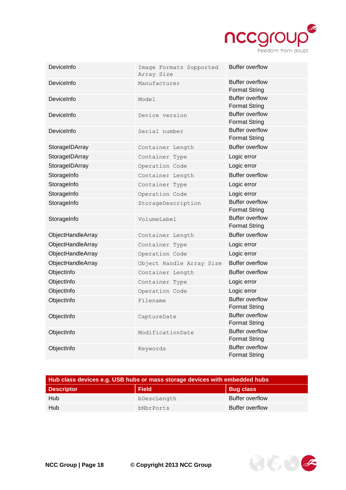

| DeviceInfo        | Image Formats Supported<br>Array Size | <b>Buffer overflow</b>                         |
|-------------------|---------------------------------------|------------------------------------------------|
| DeviceInfo        | Manufacturer                          | <b>Buffer overflow</b><br><b>Format String</b> |
| DeviceInfo        | Model                                 | <b>Buffer overflow</b><br><b>Format String</b> |
| DeviceInfo        | Device version                        | <b>Buffer overflow</b><br><b>Format String</b> |
| DeviceInfo        | Serial number                         | <b>Buffer overflow</b><br><b>Format String</b> |
| StorageIDArray    | Container Length                      | <b>Buffer overflow</b>                         |
| StorageIDArray    | Container Type                        | Logic error                                    |
| StorageIDArray    | Operation Code                        | Logic error                                    |
| StorageInfo       | Container Length                      | <b>Buffer overflow</b>                         |
| StorageInfo       | Container Type                        | Logic error                                    |
| StorageInfo       | Operation Code                        | Logic error                                    |
| StorageInfo       | StorageDescription                    | <b>Buffer overflow</b><br><b>Format String</b> |
| StorageInfo       | VolumeLabel                           | <b>Buffer overflow</b><br><b>Format String</b> |
| ObjectHandleArray | Container Length                      | <b>Buffer overflow</b>                         |
| ObjectHandleArray | Container Type                        | Logic error                                    |
| ObjectHandleArray | Operation Code                        | Logic error                                    |
| ObjectHandleArray | Object Handle Array Size              | <b>Buffer overflow</b>                         |
| ObjectInfo        | Container Length                      | <b>Buffer overflow</b>                         |
| ObjectInfo        | Container Type                        | Logic error                                    |
| ObjectInfo        | Operation Code                        | Logic error                                    |
| ObjectInfo        | Filename                              | <b>Buffer overflow</b><br><b>Format String</b> |
| ObjectInfo        | CaptureDate                           | <b>Buffer overflow</b><br><b>Format String</b> |
| ObjectInfo        | ModificationDate                      | <b>Buffer overflow</b><br><b>Format String</b> |
| ObjectInfo        | Keywords                              | <b>Buffer overflow</b><br>Format String        |

| Hub class devices e.g. USB hubs or mass storage devices with embedded hubs |              |                        |
|----------------------------------------------------------------------------|--------------|------------------------|
| <b>Descriptor</b>                                                          | <b>Field</b> | <b>Bug class</b>       |
| Hub                                                                        | bDescLength  | <b>Buffer overflow</b> |
| Hub                                                                        | bNbrPorts    | <b>Buffer overflow</b> |

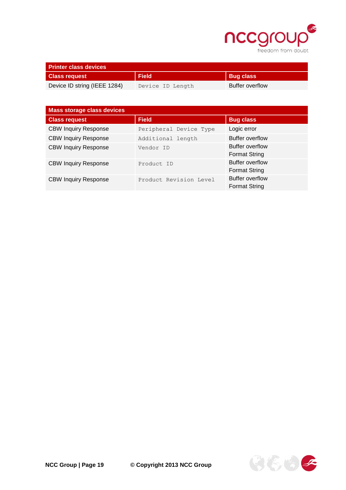

| <b>Printer class devices</b> |                  |                        |
|------------------------------|------------------|------------------------|
| <b>Class request</b>         | <b>Field</b>     | <b>Bug class</b>       |
| Device ID string (IEEE 1284) | Device ID Length | <b>Buffer overflow</b> |

| Mass storage class devices  |                        |                                                |
|-----------------------------|------------------------|------------------------------------------------|
| <b>Class request</b>        | <b>Field</b>           | <b>Bug class</b>                               |
| <b>CBW Inquiry Response</b> | Peripheral Device Type | Logic error                                    |
| <b>CBW Inquiry Response</b> | Additional length      | <b>Buffer overflow</b>                         |
| <b>CBW Inquiry Response</b> | Vendor ID              | Buffer overflow<br><b>Format String</b>        |
| <b>CBW Inquiry Response</b> | Product ID             | <b>Buffer overflow</b><br><b>Format String</b> |
| <b>CBW Inquiry Response</b> | Product Revision Level | <b>Buffer overflow</b><br><b>Format String</b> |